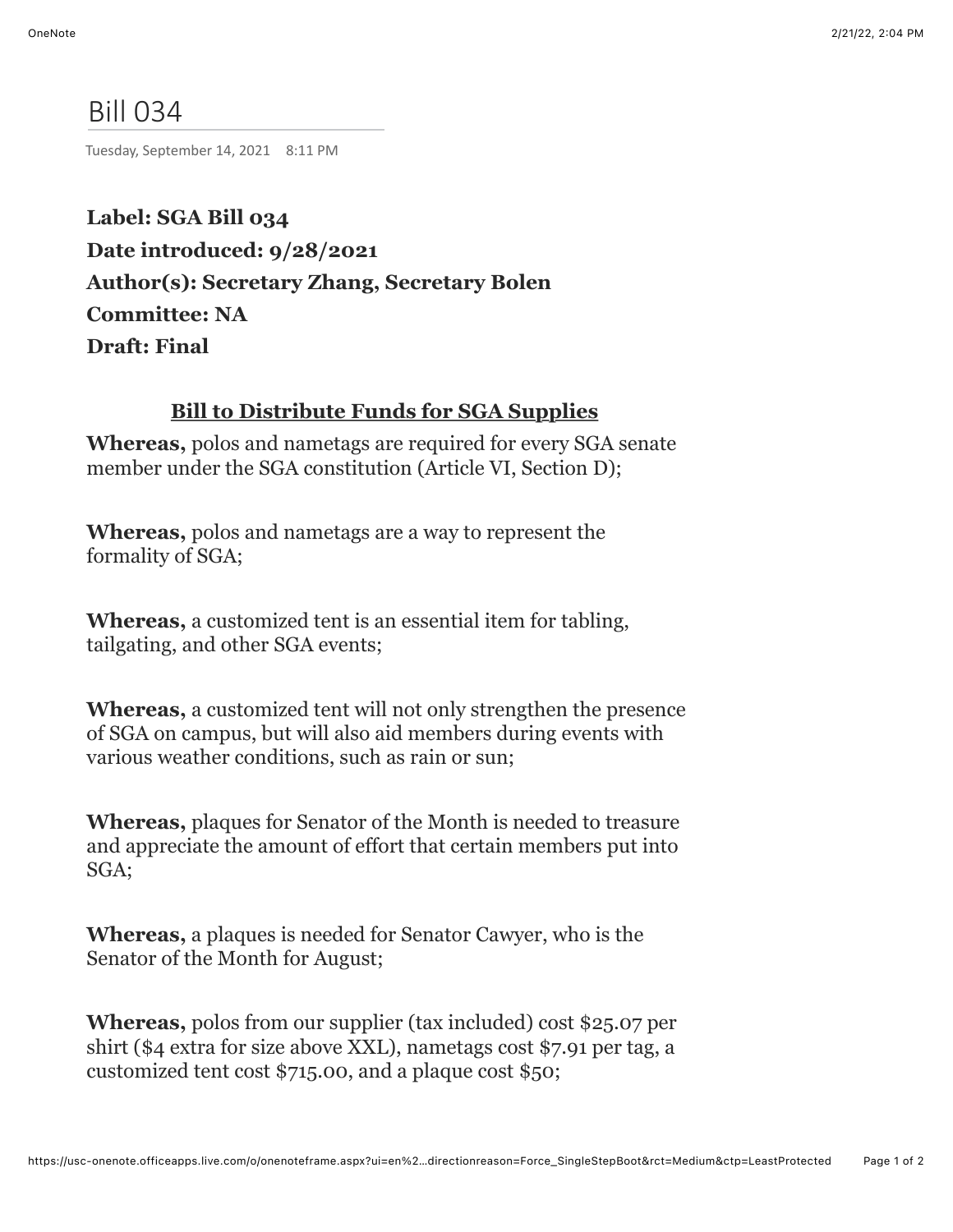## Bill 034

Tuesday, September 14, 2021 8:11 PM

**Label: SGA Bill 034 Date introduced: 9/28/2021 Author(s): Secretary Zhang, Secretary Bolen Committee: NA Draft: Final**

## **Bill to Distribute Funds for SGA Supplies**

**Whereas,** polos and nametags are required for every SGA senate member under the SGA constitution (Article VI, Section D);

**Whereas,** polos and nametags are a way to represent the formality of SGA;

**Whereas,** a customized tent is an essential item for tabling, tailgating, and other SGA events;

**Whereas,** a customized tent will not only strengthen the presence of SGA on campus, but will also aid members during events with various weather conditions, such as rain or sun;

**Whereas,** plaques for Senator of the Month is needed to treasure and appreciate the amount of effort that certain members put into SGA;

**Whereas,** a plaques is needed for Senator Cawyer, who is the Senator of the Month for August;

**Whereas,** polos from our supplier (tax included) cost \$25.07 per shirt (\$4 extra for size above XXL), nametags cost \$7.91 per tag, a customized tent cost \$715.00, and a plaque cost \$50;